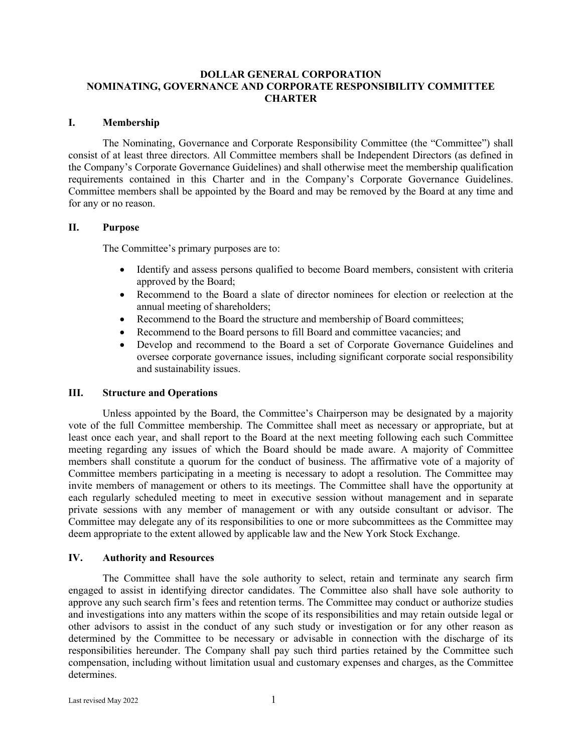#### **DOLLAR GENERAL CORPORATION NOMINATING, GOVERNANCE AND CORPORATE RESPONSIBILITY COMMITTEE CHARTER**

#### **I. Membership**

The Nominating, Governance and Corporate Responsibility Committee (the "Committee") shall consist of at least three directors. All Committee members shall be Independent Directors (as defined in the Company's Corporate Governance Guidelines) and shall otherwise meet the membership qualification requirements contained in this Charter and in the Company's Corporate Governance Guidelines. Committee members shall be appointed by the Board and may be removed by the Board at any time and for any or no reason.

# **II. Purpose**

The Committee's primary purposes are to:

- Identify and assess persons qualified to become Board members, consistent with criteria approved by the Board;
- Recommend to the Board a slate of director nominees for election or reelection at the annual meeting of shareholders;
- Recommend to the Board the structure and membership of Board committees;
- Recommend to the Board persons to fill Board and committee vacancies; and
- Develop and recommend to the Board a set of Corporate Governance Guidelines and oversee corporate governance issues, including significant corporate social responsibility and sustainability issues.

# **III. Structure and Operations**

Unless appointed by the Board, the Committee's Chairperson may be designated by a majority vote of the full Committee membership. The Committee shall meet as necessary or appropriate, but at least once each year, and shall report to the Board at the next meeting following each such Committee meeting regarding any issues of which the Board should be made aware. A majority of Committee members shall constitute a quorum for the conduct of business. The affirmative vote of a majority of Committee members participating in a meeting is necessary to adopt a resolution. The Committee may invite members of management or others to its meetings. The Committee shall have the opportunity at each regularly scheduled meeting to meet in executive session without management and in separate private sessions with any member of management or with any outside consultant or advisor. The Committee may delegate any of its responsibilities to one or more subcommittees as the Committee may deem appropriate to the extent allowed by applicable law and the New York Stock Exchange.

#### **IV. Authority and Resources**

The Committee shall have the sole authority to select, retain and terminate any search firm engaged to assist in identifying director candidates. The Committee also shall have sole authority to approve any such search firm's fees and retention terms. The Committee may conduct or authorize studies and investigations into any matters within the scope of its responsibilities and may retain outside legal or other advisors to assist in the conduct of any such study or investigation or for any other reason as determined by the Committee to be necessary or advisable in connection with the discharge of its responsibilities hereunder. The Company shall pay such third parties retained by the Committee such compensation, including without limitation usual and customary expenses and charges, as the Committee determines.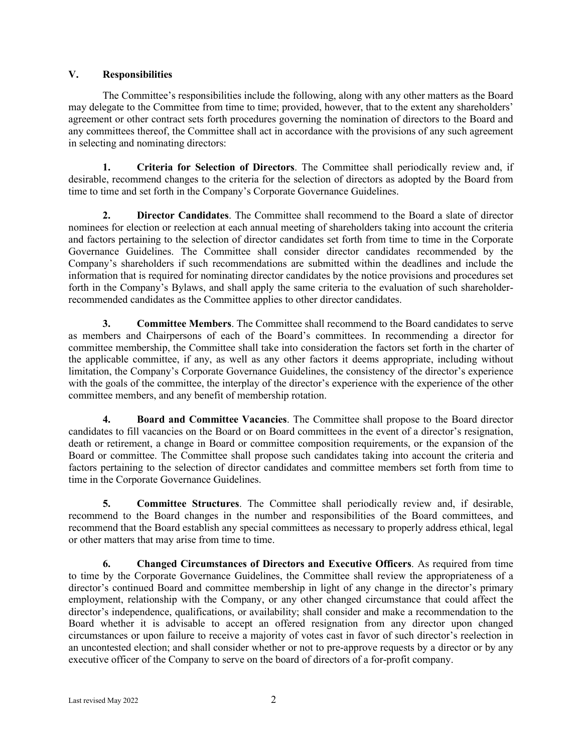# **V. Responsibilities**

The Committee's responsibilities include the following, along with any other matters as the Board may delegate to the Committee from time to time; provided, however, that to the extent any shareholders' agreement or other contract sets forth procedures governing the nomination of directors to the Board and any committees thereof, the Committee shall act in accordance with the provisions of any such agreement in selecting and nominating directors:

**1. Criteria for Selection of Directors**. The Committee shall periodically review and, if desirable, recommend changes to the criteria for the selection of directors as adopted by the Board from time to time and set forth in the Company's Corporate Governance Guidelines.

**2. Director Candidates**. The Committee shall recommend to the Board a slate of director nominees for election or reelection at each annual meeting of shareholders taking into account the criteria and factors pertaining to the selection of director candidates set forth from time to time in the Corporate Governance Guidelines. The Committee shall consider director candidates recommended by the Company's shareholders if such recommendations are submitted within the deadlines and include the information that is required for nominating director candidates by the notice provisions and procedures set forth in the Company's Bylaws, and shall apply the same criteria to the evaluation of such shareholderrecommended candidates as the Committee applies to other director candidates.

**3. Committee Members**. The Committee shall recommend to the Board candidates to serve as members and Chairpersons of each of the Board's committees. In recommending a director for committee membership, the Committee shall take into consideration the factors set forth in the charter of the applicable committee, if any, as well as any other factors it deems appropriate, including without limitation, the Company's Corporate Governance Guidelines, the consistency of the director's experience with the goals of the committee, the interplay of the director's experience with the experience of the other committee members, and any benefit of membership rotation.

**4. Board and Committee Vacancies**. The Committee shall propose to the Board director candidates to fill vacancies on the Board or on Board committees in the event of a director's resignation, death or retirement, a change in Board or committee composition requirements, or the expansion of the Board or committee. The Committee shall propose such candidates taking into account the criteria and factors pertaining to the selection of director candidates and committee members set forth from time to time in the Corporate Governance Guidelines.

**5. Committee Structures**. The Committee shall periodically review and, if desirable, recommend to the Board changes in the number and responsibilities of the Board committees, and recommend that the Board establish any special committees as necessary to properly address ethical, legal or other matters that may arise from time to time.

**6. Changed Circumstances of Directors and Executive Officers**. As required from time to time by the Corporate Governance Guidelines, the Committee shall review the appropriateness of a director's continued Board and committee membership in light of any change in the director's primary employment, relationship with the Company, or any other changed circumstance that could affect the director's independence, qualifications, or availability; shall consider and make a recommendation to the Board whether it is advisable to accept an offered resignation from any director upon changed circumstances or upon failure to receive a majority of votes cast in favor of such director's reelection in an uncontested election; and shall consider whether or not to pre-approve requests by a director or by any executive officer of the Company to serve on the board of directors of a for-profit company.